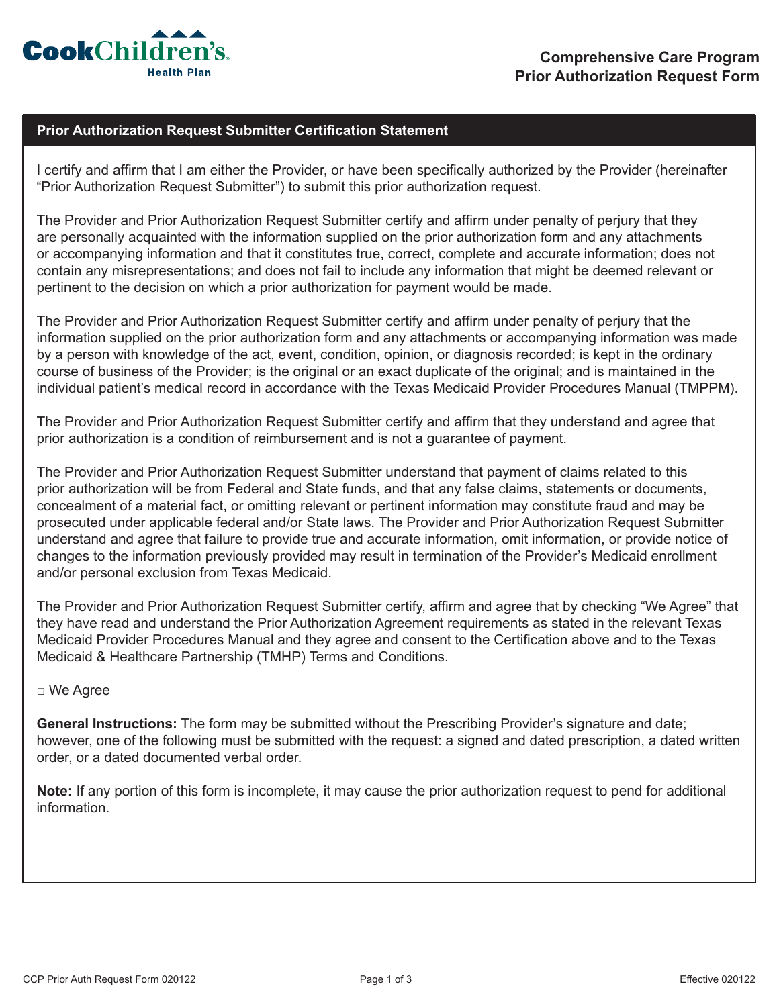

## **Prior Authorization Request Submitter Certification Statement**

I certify and affirm that I am either the Provider, or have been specifically authorized by the Provider (hereinafter "Prior Authorization Request Submitter") to submit this prior authorization request.

The Provider and Prior Authorization Request Submitter certify and affirm under penalty of perjury that they are personally acquainted with the information supplied on the prior authorization form and any attachments or accompanying information and that it constitutes true, correct, complete and accurate information; does not contain any misrepresentations; and does not fail to include any information that might be deemed relevant or pertinent to the decision on which a prior authorization for payment would be made.

The Provider and Prior Authorization Request Submitter certify and affirm under penalty of perjury that the information supplied on the prior authorization form and any attachments or accompanying information was made by a person with knowledge of the act, event, condition, opinion, or diagnosis recorded; is kept in the ordinary course of business of the Provider; is the original or an exact duplicate of the original; and is maintained in the individual patient's medical record in accordance with the Texas Medicaid Provider Procedures Manual (TMPPM).

The Provider and Prior Authorization Request Submitter certify and affirm that they understand and agree that prior authorization is a condition of reimbursement and is not a guarantee of payment.

The Provider and Prior Authorization Request Submitter understand that payment of claims related to this prior authorization will be from Federal and State funds, and that any false claims, statements or documents, concealment of a material fact, or omitting relevant or pertinent information may constitute fraud and may be prosecuted under applicable federal and/or State laws. The Provider and Prior Authorization Request Submitter understand and agree that failure to provide true and accurate information, omit information, or provide notice of changes to the information previously provided may result in termination of the Provider's Medicaid enrollment and/or personal exclusion from Texas Medicaid.

The Provider and Prior Authorization Request Submitter certify, affirm and agree that by checking "We Agree" that they have read and understand the Prior Authorization Agreement requirements as stated in the relevant Texas Medicaid Provider Procedures Manual and they agree and consent to the Certification above and to the Texas Medicaid & Healthcare Partnership (TMHP) Terms and Conditions.

## □ We Agree

**General Instructions:** The form may be submitted without the Prescribing Provider's signature and date; however, one of the following must be submitted with the request: a signed and dated prescription, a dated written order, or a dated documented verbal order.

**Note:** If any portion of this form is incomplete, it may cause the prior authorization request to pend for additional information.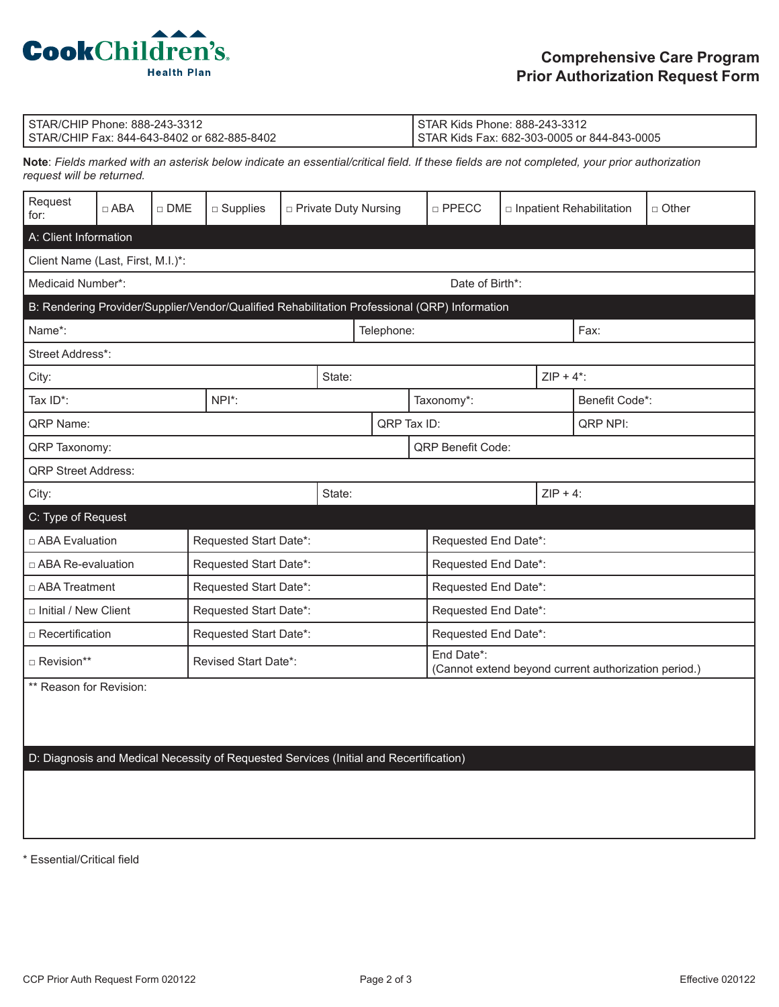

| I STAR/CHIP Phone: 888-243-3312               | STAR Kids Phone: 888-243-3312               |
|-----------------------------------------------|---------------------------------------------|
| l STAR/CHIP Fax: 844-643-8402 or 682-885-8402 | STAR Kids Fax: 682-303-0005 or 844-843-0005 |

**Note**: *Fields marked with an asterisk below indicate an essential/critical field. If these fields are not completed, your prior authorization request will be returned.*

| Request<br>for:                                                                               | $\Box$ ABA | $\Box$ DME           | $\square$ Supplies     | □ Private Duty Nursing |            |             |                                                                    | $\square$ PPECC          | $\Box$ Inpatient Rehabilitation |          |  | $\Box$ Other |  |
|-----------------------------------------------------------------------------------------------|------------|----------------------|------------------------|------------------------|------------|-------------|--------------------------------------------------------------------|--------------------------|---------------------------------|----------|--|--------------|--|
| A: Client Information                                                                         |            |                      |                        |                        |            |             |                                                                    |                          |                                 |          |  |              |  |
| Client Name (Last, First, M.I.)*:                                                             |            |                      |                        |                        |            |             |                                                                    |                          |                                 |          |  |              |  |
| Medicaid Number*:<br>Date of Birth*:                                                          |            |                      |                        |                        |            |             |                                                                    |                          |                                 |          |  |              |  |
| B: Rendering Provider/Supplier/Vendor/Qualified Rehabilitation Professional (QRP) Information |            |                      |                        |                        |            |             |                                                                    |                          |                                 |          |  |              |  |
| Name*:                                                                                        |            |                      |                        | Telephone:             |            |             |                                                                    |                          | Fax:                            |          |  |              |  |
| Street Address*:                                                                              |            |                      |                        |                        |            |             |                                                                    |                          |                                 |          |  |              |  |
| State:<br>City:                                                                               |            |                      |                        |                        |            |             |                                                                    | $ZIP + 4$ <sup>*</sup> : |                                 |          |  |              |  |
| Tax ID*:                                                                                      | NPI*:      |                      |                        |                        | Taxonomy*: |             |                                                                    |                          | Benefit Code*:                  |          |  |              |  |
| QRP Name:                                                                                     |            |                      |                        |                        |            | QRP Tax ID: |                                                                    |                          |                                 | QRP NPI: |  |              |  |
| QRP Taxonomy:                                                                                 |            |                      |                        |                        |            |             | <b>QRP Benefit Code:</b>                                           |                          |                                 |          |  |              |  |
| <b>QRP Street Address:</b>                                                                    |            |                      |                        |                        |            |             |                                                                    |                          |                                 |          |  |              |  |
| City:                                                                                         |            |                      | State:                 |                        |            | $ZIP + 4$ : |                                                                    |                          |                                 |          |  |              |  |
| C: Type of Request                                                                            |            |                      |                        |                        |            |             |                                                                    |                          |                                 |          |  |              |  |
| $\Box$ ABA Evaluation                                                                         |            |                      | Requested Start Date*: |                        |            |             |                                                                    | Requested End Date*:     |                                 |          |  |              |  |
| $\Box$ ABA Re-evaluation                                                                      |            |                      | Requested Start Date*: |                        |            |             |                                                                    | Requested End Date*:     |                                 |          |  |              |  |
| $\Box$ ABA Treatment                                                                          |            |                      | Requested Start Date*: |                        |            |             |                                                                    | Requested End Date*:     |                                 |          |  |              |  |
| □ Initial / New Client                                                                        |            |                      | Requested Start Date*: |                        |            |             |                                                                    | Requested End Date*:     |                                 |          |  |              |  |
| $\Box$ Recertification                                                                        |            |                      | Requested Start Date*: |                        |            |             |                                                                    | Requested End Date*:     |                                 |          |  |              |  |
| $\Box$ Revision**                                                                             |            | Revised Start Date*: |                        |                        |            |             | End Date*:<br>(Cannot extend beyond current authorization period.) |                          |                                 |          |  |              |  |
| ** Reason for Revision:                                                                       |            |                      |                        |                        |            |             |                                                                    |                          |                                 |          |  |              |  |

D: Diagnosis and Medical Necessity of Requested Services (Initial and Recertification)

\* Essential/Critical field